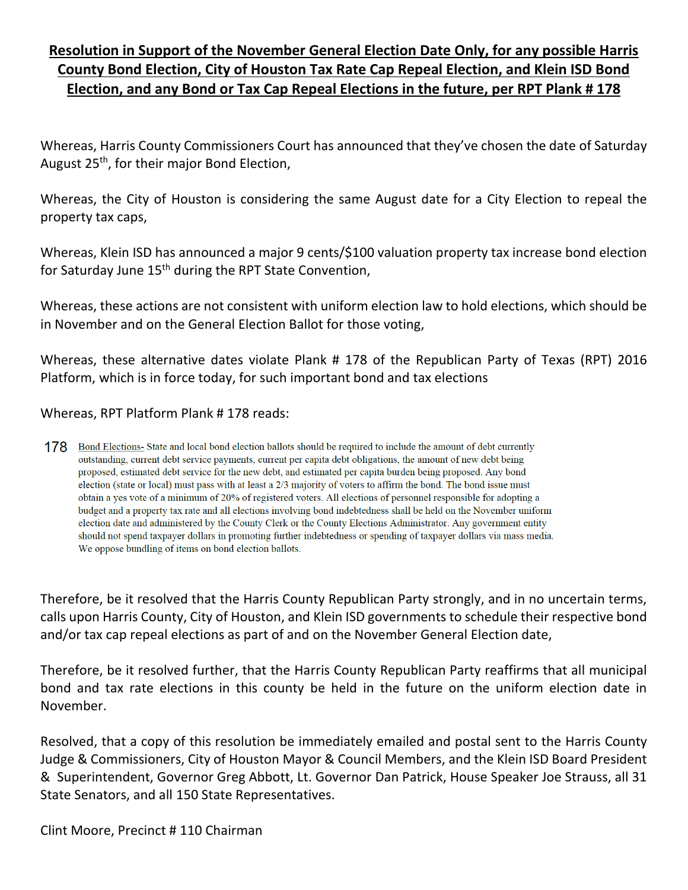## **Resolution in Support of the November General Election Date Only, for any possible Harris County Bond Election, City of Houston Tax Rate Cap Repeal Election, and Klein ISD Bond Election, and any Bond or Tax Cap Repeal Elections in the future, per RPT Plank # 178**

Whereas, Harris County Commissioners Court has announced that they've chosen the date of Saturday August 25th, for their major Bond Election,

Whereas, the City of Houston is considering the same August date for a City Election to repeal the property tax caps,

Whereas, Klein ISD has announced a major 9 cents/\$100 valuation property tax increase bond election for Saturday June 15<sup>th</sup> during the RPT State Convention,

Whereas, these actions are not consistent with uniform election law to hold elections, which should be in November and on the General Election Ballot for those voting,

Whereas, these alternative dates violate Plank # 178 of the Republican Party of Texas (RPT) 2016 Platform, which is in force today, for such important bond and tax elections

Whereas, RPT Platform Plank # 178 reads:

178 Bond Elections-State and local bond election ballots should be required to include the amount of debt currently outstanding, current debt service payments, current per capita debt obligations, the amount of new debt being proposed, estimated debt service for the new debt, and estimated per capita burden being proposed. Any bond election (state or local) must pass with at least a 2/3 majority of voters to affirm the bond. The bond issue must obtain a yes vote of a minimum of 20% of registered voters. All elections of personnel responsible for adopting a budget and a property tax rate and all elections involving bond indebtedness shall be held on the November uniform election date and administered by the County Clerk or the County Elections Administrator. Any government entity should not spend taxpayer dollars in promoting further indebtedness or spending of taxpayer dollars via mass media. We oppose bundling of items on bond election ballots.

Therefore, be it resolved that the Harris County Republican Party strongly, and in no uncertain terms, calls upon Harris County, City of Houston, and Klein ISD governments to schedule their respective bond and/or tax cap repeal elections as part of and on the November General Election date,

Therefore, be it resolved further, that the Harris County Republican Party reaffirms that all municipal bond and tax rate elections in this county be held in the future on the uniform election date in November.

Resolved, that a copy of this resolution be immediately emailed and postal sent to the Harris County Judge & Commissioners, City of Houston Mayor & Council Members, and the Klein ISD Board President & Superintendent, Governor Greg Abbott, Lt. Governor Dan Patrick, House Speaker Joe Strauss, all 31 State Senators, and all 150 State Representatives.

Clint Moore, Precinct # 110 Chairman